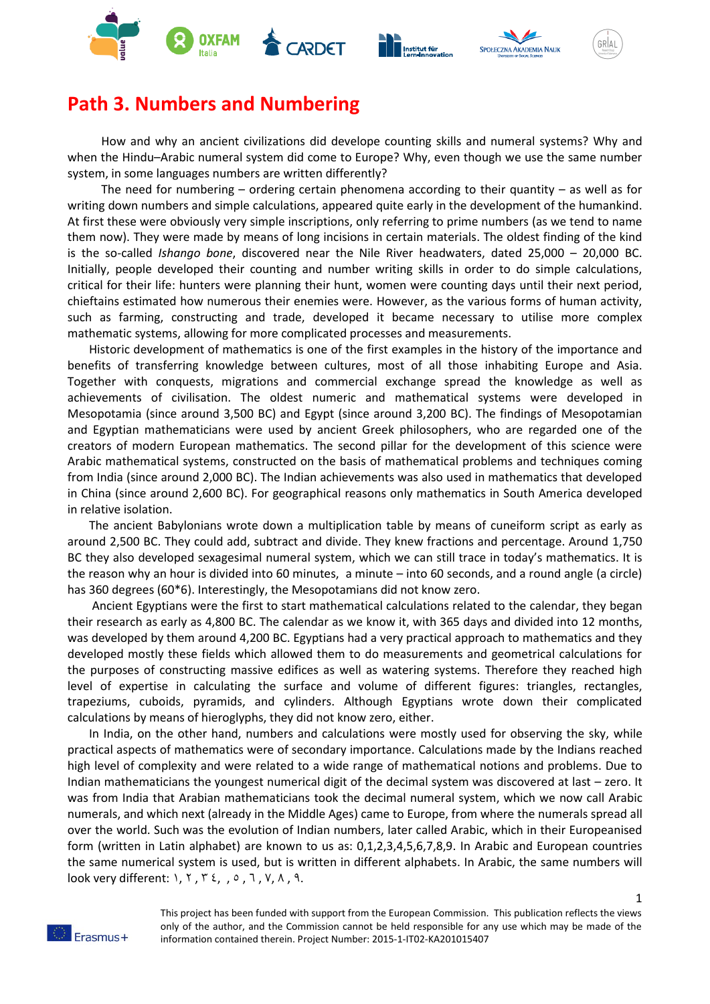







1

## **Path 3. Numbers and Numbering**

How and why an ancient civilizations did develope counting skills and numeral systems? Why and when the Hindu–Arabic numeral system did come to Europe? Why, even though we use the same number system, in some languages numbers are written differently?

The need for numbering – ordering certain phenomena according to their quantity – as well as for writing down numbers and simple calculations, appeared quite early in the development of the humankind. At first these were obviously very simple inscriptions, only referring to prime numbers (as we tend to name them now). They were made by means of long incisions in certain materials. The oldest finding of the kind is the so-called *Ishango bone*, discovered near the Nile River headwaters, dated 25,000 – 20,000 BC. Initially, people developed their counting and number writing skills in order to do simple calculations, critical for their life: hunters were planning their hunt, women were counting days until their next period, chieftains estimated how numerous their enemies were. However, as the various forms of human activity, such as farming, constructing and trade, developed it became necessary to utilise more complex mathematic systems, allowing for more complicated processes and measurements.

Historic development of mathematics is one of the first examples in the history of the importance and benefits of transferring knowledge between cultures, most of all those inhabiting Europe and Asia. Together with conquests, migrations and commercial exchange spread the knowledge as well as achievements of civilisation. The oldest numeric and mathematical systems were developed in Mesopotamia (since around 3,500 BC) and Egypt (since around 3,200 BC). The findings of Mesopotamian and Egyptian mathematicians were used by ancient Greek philosophers, who are regarded one of the creators of modern European mathematics. The second pillar for the development of this science were Arabic mathematical systems, constructed on the basis of mathematical problems and techniques coming from India (since around 2,000 BC). The Indian achievements was also used in mathematics that developed in China (since around 2,600 BC). For geographical reasons only mathematics in South America developed in relative isolation.

The ancient Babylonians wrote down a multiplication table by means of cuneiform script as early as around 2,500 BC. They could add, subtract and divide. They knew fractions and percentage. Around 1,750 BC they also developed sexagesimal numeral system, which we can still trace in today's mathematics. It is the reason why an hour is divided into 60 minutes, a minute – into 60 seconds, and a round angle (a circle) has 360 degrees (60\*6). Interestingly, the Mesopotamians did not know zero.

Ancient Egyptians were the first to start mathematical calculations related to the calendar, they began their research as early as 4,800 BC. The calendar as we know it, with 365 days and divided into 12 months, was developed by them around 4,200 BC. Egyptians had a very practical approach to mathematics and they developed mostly these fields which allowed them to do measurements and geometrical calculations for the purposes of constructing massive edifices as well as watering systems. Therefore they reached high level of expertise in calculating the surface and volume of different figures: triangles, rectangles, trapeziums, cuboids, pyramids, and cylinders. Although Egyptians wrote down their complicated calculations by means of hieroglyphs, they did not know zero, either.

In India, on the other hand, numbers and calculations were mostly used for observing the sky, while practical aspects of mathematics were of secondary importance. Calculations made by the Indians reached high level of complexity and were related to a wide range of mathematical notions and problems. Due to Indian mathematicians the youngest numerical digit of the decimal system was discovered at last – zero. It was from India that Arabian mathematicians took the decimal numeral system, which we now call Arabic numerals, and which next (already in the Middle Ages) came to Europe, from where the numerals spread all over the world. Such was the evolution of Indian numbers, later called Arabic, which in their Europeanised form (written in Latin alphabet) are known to us as: 0,1,2,3,4,5,6,7,8,9. In Arabic and European countries the same numerical system is used, but is written in different alphabets. In Arabic, the same numbers will look very different: ١, ٢ , ٣ ٤, , ٥ , ٦ , ٧, ٨ , ٩.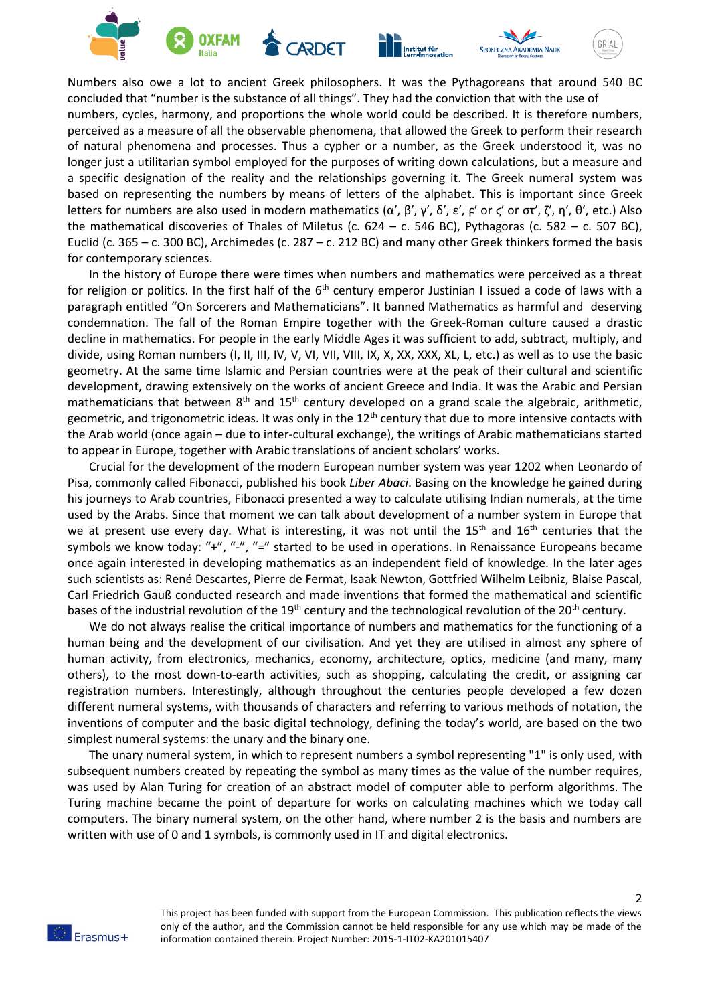



Numbers also owe a lot to ancient Greek philosophers. It was the Pythagoreans that around 540 BC concluded that "number is the substance of all things". They had the conviction that with the use of numbers, cycles, harmony, and proportions the whole world could be described. It is therefore numbers, perceived as a measure of all the observable phenomena, that allowed the Greek to perform their research of natural phenomena and processes. Thus a cypher or a number, as the Greek understood it, was no longer just a utilitarian symbol employed for the purposes of writing down calculations, but a measure and a specific designation of the reality and the relationships governing it. The Greek numeral system was based on representing the numbers by means of letters of the alphabet. This is important since Greek letters for numbers are also used in modern mathematics (α', β', γ', δ', ε', <sub>F</sub>' or ς' or στ', ζ', η', θ', etc.) Also the mathematical discoveries of Thales of Miletus (c. 624 – c. 546 BC), Pythagoras (c. 582 – c. 507 BC), Euclid (c. 365 – c. 300 BC), Archimedes (c. 287 – c. 212 BC) and many other Greek thinkers formed the basis for contemporary sciences.

In the history of Europe there were times when numbers and mathematics were perceived as a threat for religion or politics. In the first half of the  $6<sup>th</sup>$  century emperor Justinian I issued a code of laws with a paragraph entitled "On Sorcerers and Mathematicians". It banned Mathematics as harmful and deserving condemnation. The fall of the Roman Empire together with the Greek-Roman culture caused a drastic decline in mathematics. For people in the early Middle Ages it was sufficient to add, subtract, multiply, and divide, using Roman numbers (I, II, III, IV, V, VI, VII, VIII, IX, X, XX, XXX, XL, L, etc.) as well as to use the basic geometry. At the same time Islamic and Persian countries were at the peak of their cultural and scientific development, drawing extensively on the works of ancient Greece and India. It was the Arabic and Persian mathematicians that between  $8<sup>th</sup>$  and  $15<sup>th</sup>$  century developed on a grand scale the algebraic, arithmetic, geometric, and trigonometric ideas. It was only in the  $12<sup>th</sup>$  century that due to more intensive contacts with the Arab world (once again – due to inter-cultural exchange), the writings of Arabic mathematicians started to appear in Europe, together with Arabic translations of ancient scholars' works.

Crucial for the development of the modern European number system was year 1202 when Leonardo of Pisa, commonly called Fibonacci, published his book *Liber Abaci*. Basing on the knowledge he gained during his journeys to Arab countries, Fibonacci presented a way to calculate utilising Indian numerals, at the time used by the Arabs. Since that moment we can talk about development of a number system in Europe that we at present use every day. What is interesting, it was not until the 15<sup>th</sup> and 16<sup>th</sup> centuries that the symbols we know today: "+", "-", "=" started to be used in operations. In Renaissance Europeans became once again interested in developing mathematics as an independent field of knowledge. In the later ages such scientists as: René Descartes, Pierre de Fermat, Isaak Newton, Gottfried Wilhelm Leibniz, Blaise Pascal, Carl Friedrich Gauß conducted research and made inventions that formed the mathematical and scientific bases of the industrial revolution of the 19<sup>th</sup> century and the technological revolution of the 20<sup>th</sup> century.

We do not always realise the critical importance of numbers and mathematics for the functioning of a human being and the development of our civilisation. And yet they are utilised in almost any sphere of human activity, from electronics, mechanics, economy, architecture, optics, medicine (and many, many others), to the most down-to-earth activities, such as shopping, calculating the credit, or assigning car registration numbers. Interestingly, although throughout the centuries people developed a few dozen different numeral systems, with thousands of characters and referring to various methods of notation, the inventions of computer and the basic digital technology, defining the today's world, are based on the two simplest numeral systems: the unary and the binary one.

The unary numeral system, in which to represent numbers a symbol representing "1" is only used, with subsequent numbers created by repeating the symbol as many times as the value of the number requires, was used by Alan Turing for creation of an abstract model of computer able to perform algorithms. The Turing machine became the point of departure for works on calculating machines which we today call computers. The binary numeral system, on the other hand, where number 2 is the basis and numbers are written with use of 0 and 1 symbols, is commonly used in IT and digital electronics.

2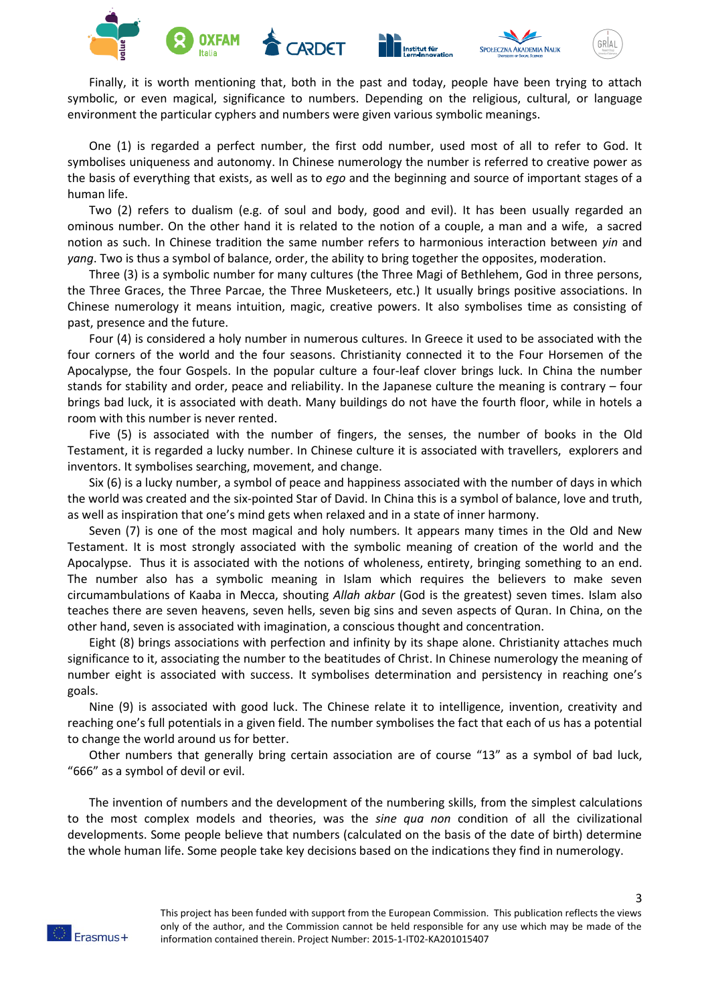





Finally, it is worth mentioning that, both in the past and today, people have been trying to attach symbolic, or even magical, significance to numbers. Depending on the religious, cultural, or language environment the particular cyphers and numbers were given various symbolic meanings.

One (1) is regarded a perfect number, the first odd number, used most of all to refer to God. It symbolises uniqueness and autonomy. In Chinese numerology the number is referred to creative power as the basis of everything that exists, as well as to *ego* and the beginning and source of important stages of a human life.

Two (2) refers to dualism (e.g. of soul and body, good and evil). It has been usually regarded an ominous number. On the other hand it is related to the notion of a couple, a man and a wife, a sacred notion as such. In Chinese tradition the same number refers to harmonious interaction between *yin* and *yang*. Two is thus a symbol of balance, order, the ability to bring together the opposites, moderation.

Three (3) is a symbolic number for many cultures (the Three Magi of Bethlehem, God in three persons, the Three Graces, the Three Parcae, the Three Musketeers, etc.) It usually brings positive associations. In Chinese numerology it means intuition, magic, creative powers. It also symbolises time as consisting of past, presence and the future.

Four (4) is considered a holy number in numerous cultures. In Greece it used to be associated with the four corners of the world and the four seasons. Christianity connected it to the Four Horsemen of the Apocalypse, the four Gospels. In the popular culture a four-leaf clover brings luck. In China the number stands for stability and order, peace and reliability. In the Japanese culture the meaning is contrary – four brings bad luck, it is associated with death. Many buildings do not have the fourth floor, while in hotels a room with this number is never rented.

Five (5) is associated with the number of fingers, the senses, the number of books in the Old Testament, it is regarded a lucky number. In Chinese culture it is associated with travellers, explorers and inventors. It symbolises searching, movement, and change.

Six (6) is a lucky number, a symbol of peace and happiness associated with the number of days in which the world was created and the six-pointed Star of David. In China this is a symbol of balance, love and truth, as well as inspiration that one's mind gets when relaxed and in a state of inner harmony.

Seven (7) is one of the most magical and holy numbers. It appears many times in the Old and New Testament. It is most strongly associated with the symbolic meaning of creation of the world and the Apocalypse. Thus it is associated with the notions of wholeness, entirety, bringing something to an end. The number also has a symbolic meaning in Islam which requires the believers to make seven circumambulations of Kaaba in Mecca, shouting *Allah akbar* (God is the greatest) seven times. Islam also teaches there are seven heavens, seven hells, seven big sins and seven aspects of Quran. In China, on the other hand, seven is associated with imagination, a conscious thought and concentration.

Eight (8) brings associations with perfection and infinity by its shape alone. Christianity attaches much significance to it, associating the number to the beatitudes of Christ. In Chinese numerology the meaning of number eight is associated with success. It symbolises determination and persistency in reaching one's goals.

Nine (9) is associated with good luck. The Chinese relate it to intelligence, invention, creativity and reaching one's full potentials in a given field. The number symbolises the fact that each of us has a potential to change the world around us for better.

Other numbers that generally bring certain association are of course "13" as a symbol of bad luck, "666" as a symbol of devil or evil.

The invention of numbers and the development of the numbering skills, from the simplest calculations to the most complex models and theories, was the *sine qua non* condition of all the civilizational developments. Some people believe that numbers (calculated on the basis of the date of birth) determine the whole human life. Some people take key decisions based on the indications they find in numerology.